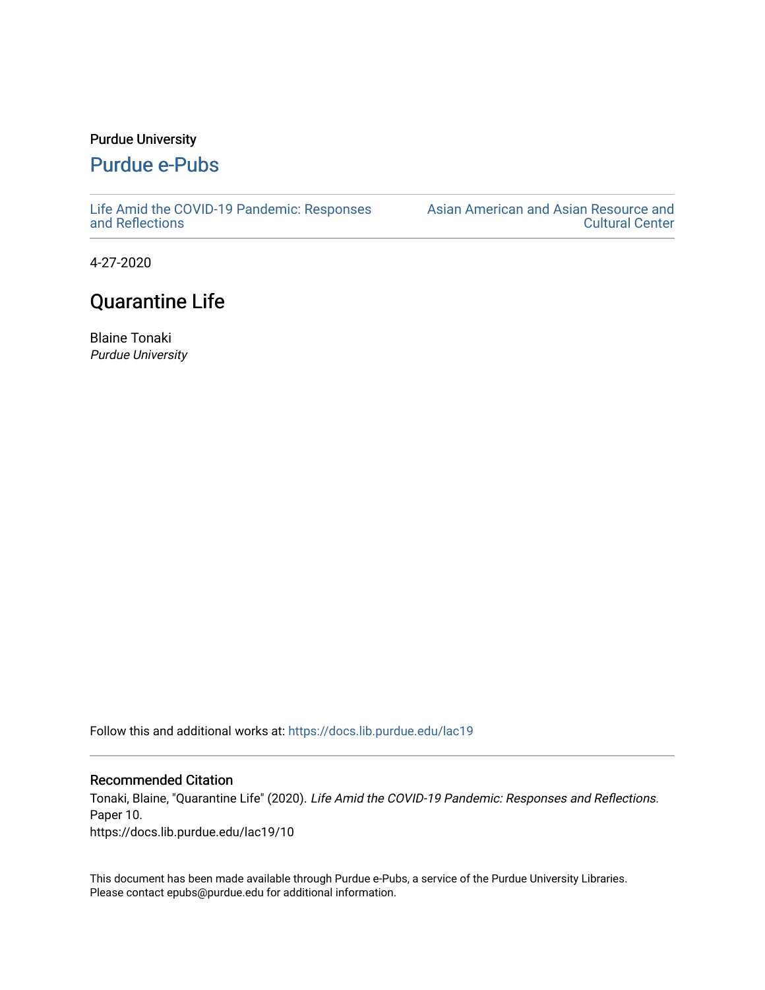## Purdue University

## [Purdue e-Pubs](https://docs.lib.purdue.edu/)

[Life Amid the COVID-19 Pandemic: Responses](https://docs.lib.purdue.edu/lac19)  [and Reflections](https://docs.lib.purdue.edu/lac19) 

[Asian American and Asian Resource and](https://docs.lib.purdue.edu/aaarcc)  [Cultural Center](https://docs.lib.purdue.edu/aaarcc) 

4-27-2020

## Quarantine Life

Blaine Tonaki Purdue University

Follow this and additional works at: [https://docs.lib.purdue.edu/lac19](https://docs.lib.purdue.edu/lac19?utm_source=docs.lib.purdue.edu%2Flac19%2F10&utm_medium=PDF&utm_campaign=PDFCoverPages)

## Recommended Citation

Tonaki, Blaine, "Quarantine Life" (2020). Life Amid the COVID-19 Pandemic: Responses and Reflections. Paper 10. https://docs.lib.purdue.edu/lac19/10

This document has been made available through Purdue e-Pubs, a service of the Purdue University Libraries. Please contact epubs@purdue.edu for additional information.